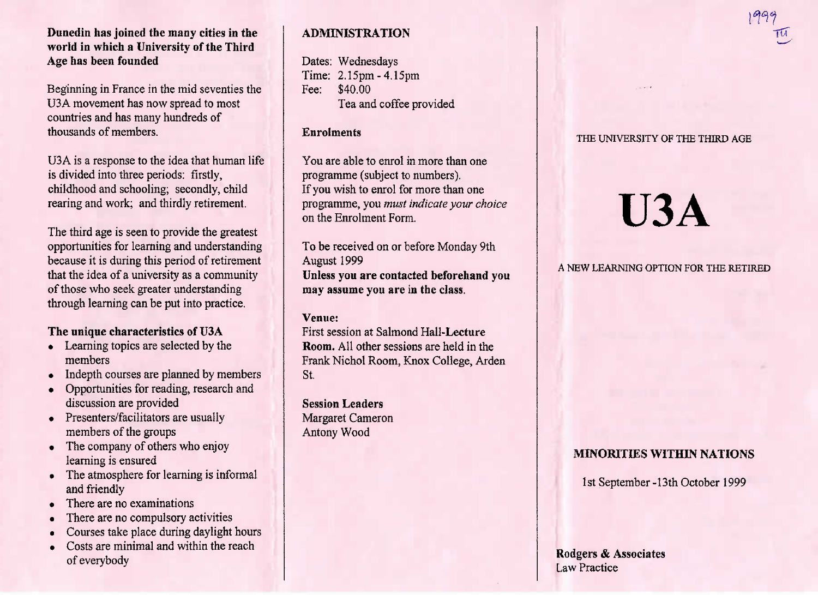## **Dunedin has joined the many cities in the world in which a University of the ThirdAge has been founded**

Beginning in France in the mid seventies theUSA movement has now spread to mostcountries and has many hundreds ofthousands of members.

USA is a response to the idea that human lifeis divided into three periods: firstly, childhood and schooling; secondly, childrearing and work; and thirdly retirement.

The third age is seen to provide the greatest opportunities for learning and understanding because it is during this period of retirement that the idea of a university as a communityof those who seek greater understandingthrough learning can be put into practice.

# **The unique characteristics of U3A**

- Learning topics are selected by themembers
- Indepth courses are planned by members
- Opportunities for reading, research anddiscussion are provided
- Presenters/facilitators are usually members of the groups
- The company of others who enjoy learning is ensured
- The atmosphere for learning is informal and friendly
- There are no examinations
- There are no compulsory activities
- Courses take place during daylight hours
- Costs are minimal and within the reach of everybody

# **ADMINISTRATION**

Dates: Wednesdays Time: 2.15pm-4,15pmFee: \$40.00Tea and coffee provided

## **Enrolments**

You are able to enrol in more than oneprogramme (subject to numbers). If you wish to enrol for more than one programme, you *must indicate your choice*on the Enrolment Form.

To be received on or before Monday 9thAugust 1999 **Unless you are contacted beforehand youmay assume you are in the class.**

# **Venue:**

 First session at Salmond Hall-Lecture **Room.** All other sessions are held in the Frank Nichol Room, Knox College, ArdenSt.

**Session Leaders** Margaret CameronAntony Wood

## THE UNIVERSITY OF THE THIRD AGE

# **U3A**

## A NEW LEARNING OPTION FOR THE RETIRED

# **MINORITIES WITHIN NATIONS**

1st September-13th October 1999

**Rodgers & Associates**Law Practice